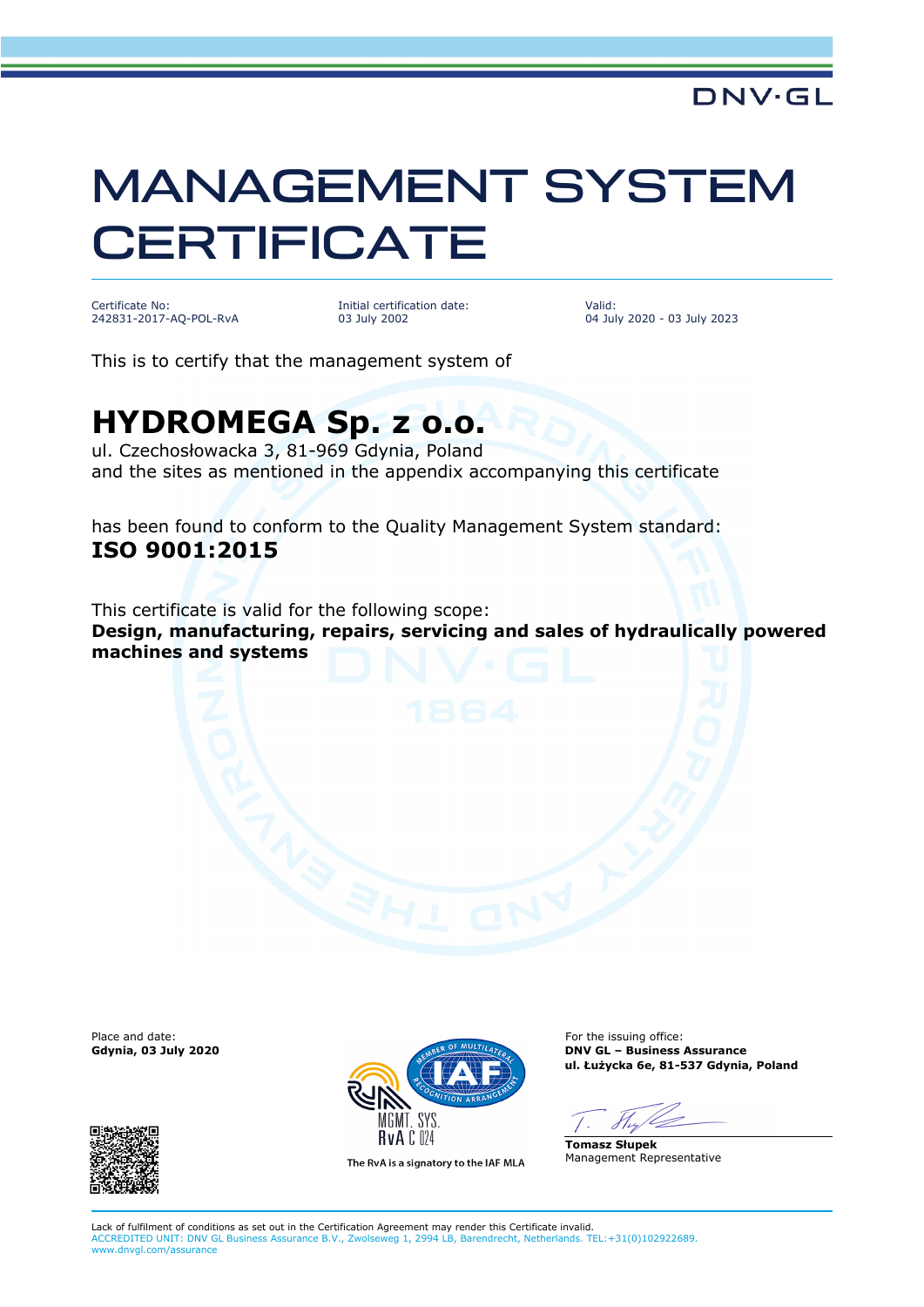### **DNV·GL**

# MANAGEMENT SYSTEM **CERTIFICATE**

Certificate No: 242831-2017-AQ-POL-RvA Initial certification date: 03 July 2002

Valid: 04 July 2020 - 03 July 2023

This is to certify that the management system of

# **HYDROMEGA Sp. z o.o.**

ul. Czechosłowacka 3, 81-969 Gdynia, Poland and the sites as mentioned in the appendix accompanying this certificate

has been found to conform to the Quality Management System standard: **ISO 9001:2015**

This certificate is valid for the following scope: **Design, manufacturing, repairs, servicing and sales of hydraulically powered machines and systems**





The RvA is a signatory to the IAF MLA

**Gdynia, 03 July 2020 DNV GL – Business Assurance ul. Łużycka 6e, 81-537 Gdynia, Poland**

**Tomasz Słupek** Management Representative

Lack of fulfilment of conditions as set out in the Certification Agreement may render this Certificate invalid. ACCREDITED UNIT: DNV GL Business Assurance B.V., Zwolseweg 1, 2994 LB, Barendrecht, Netherlands. TEL:+31(0)102922689. www.dnvgl.com/assurance